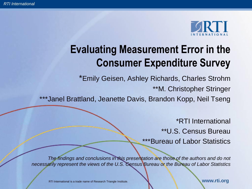

# **Evaluating Measurement Error in the Consumer Expenditure Survey**

\*Emily Geisen, Ashley Richards, Charles Strohm

\*\*M. Christopher Stringer

\*\*\*Janel Brattland, Jeanette Davis, Brandon Kopp, Neil Tseng

\*RTI International \*\*U.S. Census Bureau \*\*\*Bureau of Labor Statistics

*The findings and conclusions in this presentation are those of the authors and do not necessarily represent the views of the U.S. Census Bureau or the Bureau of Labor Statistics*

RTI International is a trade name of Research Triangle Institute. **We wanted a set of the WWW.rti.org**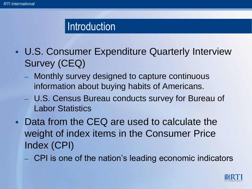### **Introduction**

- U.S. Consumer Expenditure Quarterly Interview Survey (CEQ)
	- Monthly survey designed to capture continuous information about buying habits of Americans.
	- U.S. Census Bureau conducts survey for Bureau of Labor Statistics
- **Data from the CEQ are used to calculate the** weight of index items in the Consumer Price Index (CPI)
	- CPI is one of the nation's leading economic indicators

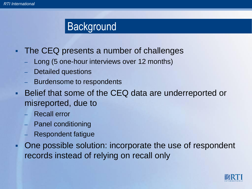## **Background**

- **The CEQ presents a number of challenges** 
	- Long (5 one-hour interviews over 12 months)
	- Detailed questions
	- Burdensome to respondents
- Belief that some of the CEQ data are underreported or misreported, due to
	- Recall error
	- Panel conditioning
	- Respondent fatigue
- One possible solution: incorporate the use of respondent records instead of relying on recall only

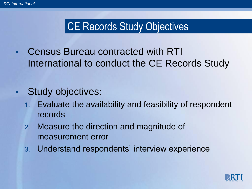# CE Records Study Objectives

 Census Bureau contracted with RTI International to conduct the CE Records Study

#### **Study objectives:**

- 1. Evaluate the availability and feasibility of respondent records
- 2. Measure the direction and magnitude of measurement error
- 3. Understand respondents' interview experience

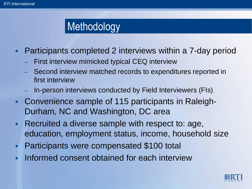## **Methodology**

- Participants completed 2 interviews within a 7-day period
	- First interview mimicked typical CEQ interview
	- Second interview matched records to expenditures reported in first interview
	- In-person interviews conducted by Field Interviewers (FIs)
- Convenience sample of 115 participants in Raleigh-Durham, NC and Washington, DC area
- **Recruited a diverse sample with respect to: age,** education, employment status, income, household size
- **Participants were compensated \$100 total**
- Informed consent obtained for each interview

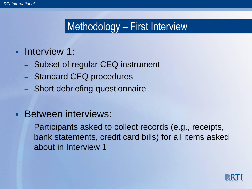## Methodology – First Interview

#### **Interview 1:**

- Subset of regular CEQ instrument
- Standard CEQ procedures
- Short debriefing questionnaire

#### **Between interviews:**

– Participants asked to collect records (e.g., receipts, bank statements, credit card bills) for all items asked about in Interview 1

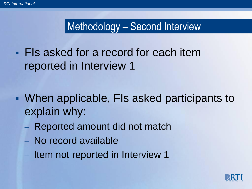## Methodology – Second Interview

**FIs asked for a record for each item** reported in Interview 1

- When applicable, FIs asked participants to explain why:
	- Reported amount did not match
	- No record available
	- Item not reported in Interview 1

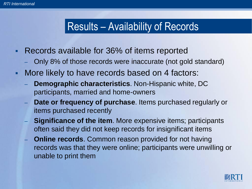### Results – Availability of Records

- Records available for 36% of items reported
	- Only 8% of those records were inaccurate (not gold standard)
- More likely to have records based on 4 factors:
	- **Demographic characteristics**. Non-Hispanic white, DC participants, married and home-owners
	- **Date or frequency of purchase.** Items purchased regularly or items purchased recently
	- **Significance of the item**. More expensive items; participants often said they did not keep records for insignificant items
	- **Online records**. Common reason provided for not having records was that they were online; participants were unwilling or unable to print them

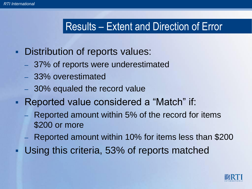## Results – Extent and Direction of Error

- **Distribution of reports values:** 
	- 37% of reports were underestimated
	- 33% overestimated
	- 30% equaled the record value
- Reported value considered a "Match" if:
	- Reported amount within 5% of the record for items \$200 or more
	- Reported amount within 10% for items less than \$200
	- Using this criteria, 53% of reports matched

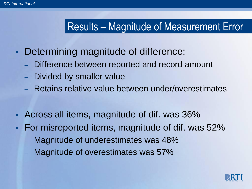## Results – Magnitude of Measurement Error

- **Determining magnitude of difference:** 
	- Difference between reported and record amount
	- Divided by smaller value
	- Retains relative value between under/overestimates
- Across all items, magnitude of dif. was 36%
- For misreported items, magnitude of dif. was 52%
	- Magnitude of underestimates was 48%
	- Magnitude of overestimates was 57%

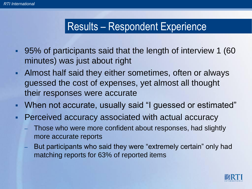## Results – Respondent Experience

- 95% of participants said that the length of interview 1 (60 minutes) was just about right
- Almost half said they either sometimes, often or always guessed the cost of expenses, yet almost all thought their responses were accurate
- When not accurate, usually said "I guessed or estimated"
- **Perceived accuracy associated with actual accuracy** 
	- Those who were more confident about responses, had slightly more accurate reports
	- But participants who said they were "extremely certain" only had matching reports for 63% of reported items

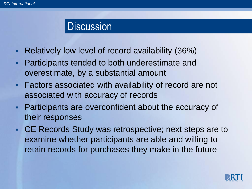#### **Discussion**

- Relatively low level of record availability (36%)
- **Participants tended to both underestimate and** overestimate, by a substantial amount
- **Factors associated with availability of record are not** associated with accuracy of records
- Participants are overconfident about the accuracy of their responses
- CE Records Study was retrospective; next steps are to examine whether participants are able and willing to retain records for purchases they make in the future

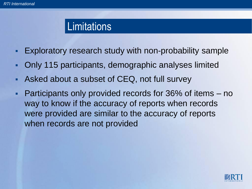#### **Limitations**

- Exploratory research study with non-probability sample
- Only 115 participants, demographic analyses limited
- Asked about a subset of CEQ, not full survey
- Participants only provided records for 36% of items no way to know if the accuracy of reports when records were provided are similar to the accuracy of reports when records are not provided